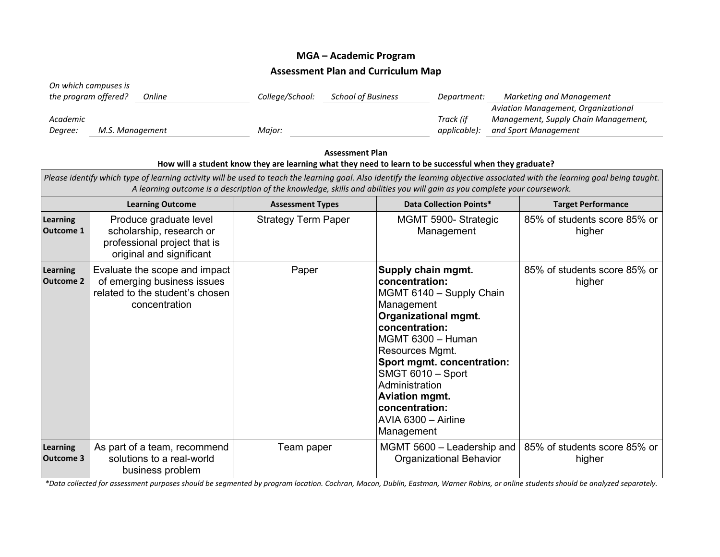## **MGA – Academic Program Assessment Plan and Curriculum Map**

| On which campuses is<br>the program offered? | Online          | College/School: | <b>School of Business</b> | Department:  | Marketing and Management             |
|----------------------------------------------|-----------------|-----------------|---------------------------|--------------|--------------------------------------|
|                                              |                 |                 |                           |              | Aviation Management, Organizational  |
| Academic                                     |                 |                 |                           | Track (if    | Management, Supply Chain Management, |
| Degree:                                      | M.S. Management | Maior:          |                           | applicable): | and Sport Management                 |

|                                                                                                                                                                                                                                                                                                            | <b>Assessment Plan</b><br>How will a student know they are learning what they need to learn to be successful when they graduate? |                            |                                                                                                                                                                                                                                                                                                                              |                                        |  |  |  |  |
|------------------------------------------------------------------------------------------------------------------------------------------------------------------------------------------------------------------------------------------------------------------------------------------------------------|----------------------------------------------------------------------------------------------------------------------------------|----------------------------|------------------------------------------------------------------------------------------------------------------------------------------------------------------------------------------------------------------------------------------------------------------------------------------------------------------------------|----------------------------------------|--|--|--|--|
| Please identify which type of learning activity will be used to teach the learning goal. Also identify the learning objective associated with the learning goal being taught.<br>A learning outcome is a description of the knowledge, skills and abilities you will gain as you complete your coursework. |                                                                                                                                  |                            |                                                                                                                                                                                                                                                                                                                              |                                        |  |  |  |  |
|                                                                                                                                                                                                                                                                                                            | <b>Learning Outcome</b>                                                                                                          | <b>Assessment Types</b>    | <b>Data Collection Points*</b>                                                                                                                                                                                                                                                                                               | <b>Target Performance</b>              |  |  |  |  |
| <b>Learning</b><br><b>Outcome 1</b>                                                                                                                                                                                                                                                                        | Produce graduate level<br>scholarship, research or<br>professional project that is<br>original and significant                   | <b>Strategy Term Paper</b> | MGMT 5900-Strategic<br>Management                                                                                                                                                                                                                                                                                            | 85% of students score 85% or<br>higher |  |  |  |  |
| Learning<br><b>Outcome 2</b>                                                                                                                                                                                                                                                                               | Evaluate the scope and impact<br>of emerging business issues<br>related to the student's chosen<br>concentration                 | Paper                      | Supply chain mgmt.<br>concentration:<br>MGMT 6140 - Supply Chain<br>Management<br><b>Organizational mgmt.</b><br>concentration:<br>MGMT 6300 - Human<br>Resources Mgmt.<br>Sport mgmt. concentration:<br>SMGT 6010 - Sport<br>Administration<br><b>Aviation mgmt.</b><br>concentration:<br>AVIA 6300 - Airline<br>Management | 85% of students score 85% or<br>higher |  |  |  |  |
| Learning<br><b>Outcome 3</b>                                                                                                                                                                                                                                                                               | As part of a team, recommend<br>solutions to a real-world<br>business problem                                                    | Team paper                 | MGMT 5600 - Leadership and<br><b>Organizational Behavior</b>                                                                                                                                                                                                                                                                 | 85% of students score 85% or<br>higher |  |  |  |  |

*\*Data collected for assessment purposes should be segmented by program location. Cochran, Macon, Dublin, Eastman, Warner Robins, or online students should be analyzed separately.*